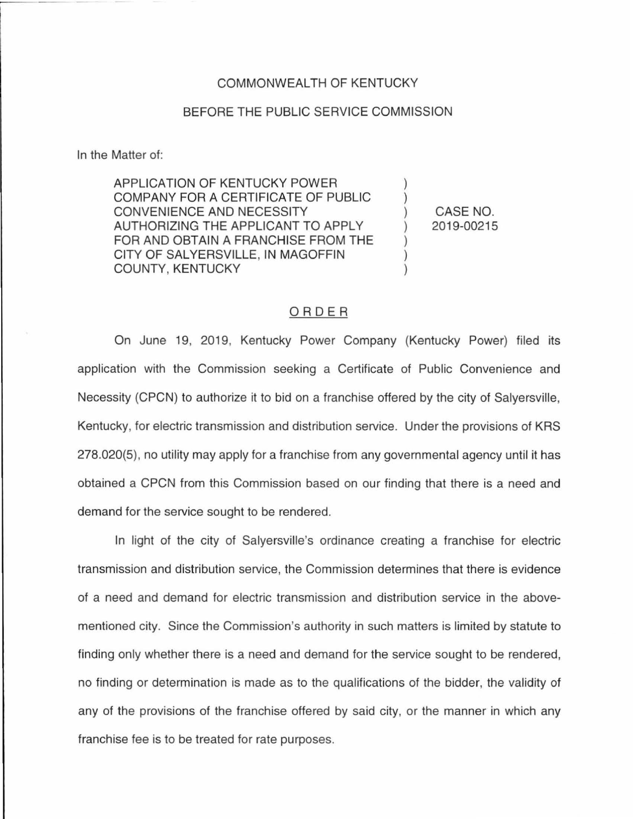## COMMONWEALTH OF KENTUCKY

## BEFORE THE PUBLIC SERVICE COMMISSION

In the Matter of:

APPLICATION OF KENTUCKY POWER COMPANY FOR A CERTIFICATE OF PUBLIC CONVENIENCE AND NECESSITY AUTHORIZING THE APPLICANT TO APPLY FOR AND OBTAIN A FRANCHISE FROM THE CITY OF SALYERSVILLE, IN MAGOFFIN COUNTY, KENTUCKY

CASE NO. 2019-00215

) ) ) ) ) ) )

## ORDER

On June 19, 2019, Kentucky Power Company (Kentucky Power) filed its application with the Commission seeking a Certificate of Public Convenience and Necessity (CPCN) to authorize it to bid on a franchise offered by the city of Salyersville, Kentucky, for electric transmission and distribution service. Under the provisions of KRS 278.020(5), no utility may apply for a franchise from any governmental agency until it has obtained a CPCN from this Commission based on our finding that there is a need and demand for the service sought to be rendered.

In light of the city of Salyersville's ordinance creating a franchise for electric transmission and distribution service, the Commission determines that there is evidence of a need and demand for electric transmission and distribution service in the abovementioned city. Since the Commission's authority in such matters is limited by statute to finding only whether there is a need and demand for the service sought to be rendered, no finding or determination is made as to the qualifications of the bidder, the validity of any of the provisions of the franchise offered by said city, or the manner in which any franchise fee is to be treated for rate purposes.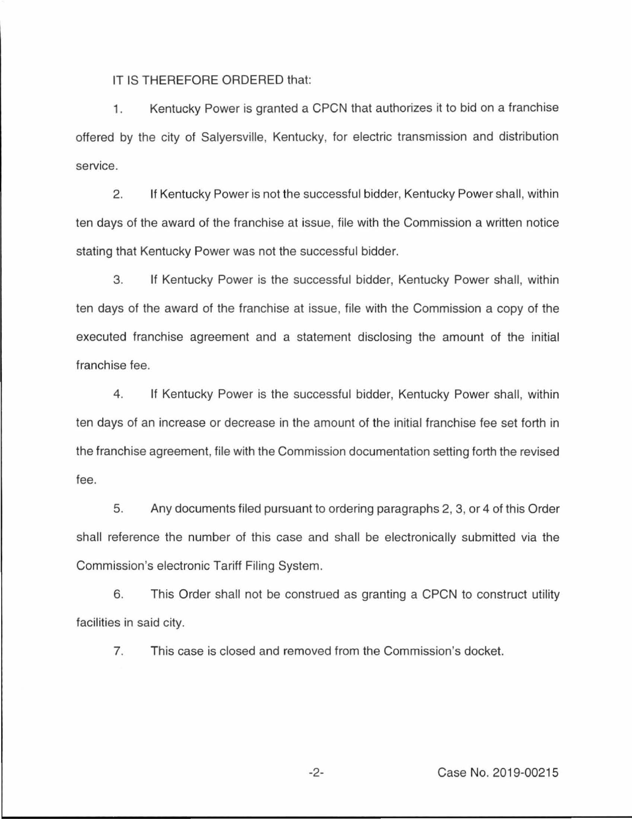IT IS THEREFORE ORDERED that:

1. Kentucky Power is granted a CPCN that authorizes it to bid on a franchise offered by the city of Salyersville, Kentucky, for electric transmission and distribution service.

2. If Kentucky Power is not the successful bidder, Kentucky Power shall, within ten days of the award of the franchise at issue, file with the Commission a written notice stating that Kentucky Power was not the successful bidder.

3. If Kentucky Power is the successful bidder, Kentucky Power shall, within ten days of the award of the franchise at issue, file with the Commission a copy of the executed franchise agreement and a statement disclosing the amount of the initial franchise fee.

4. If Kentucky Power is the successful bidder, Kentucky Power shall, within ten days of an increase or decrease in the amount of the initial franchise fee set forth in the franchise agreement, file with the Commission documentation setting forth the revised fee.

5. Any documents filed pursuant to ordering paragraphs 2, 3, or 4 of this Order shall reference the number of this case and shall be electronically submitted via the Commission's electronic Tariff Filing System.

6. This Order shall not be construed as granting a CPCN to construct utility facilities in said city.

7. This case is closed and removed from the Commission's docket.

-2- Case No. 2019-00215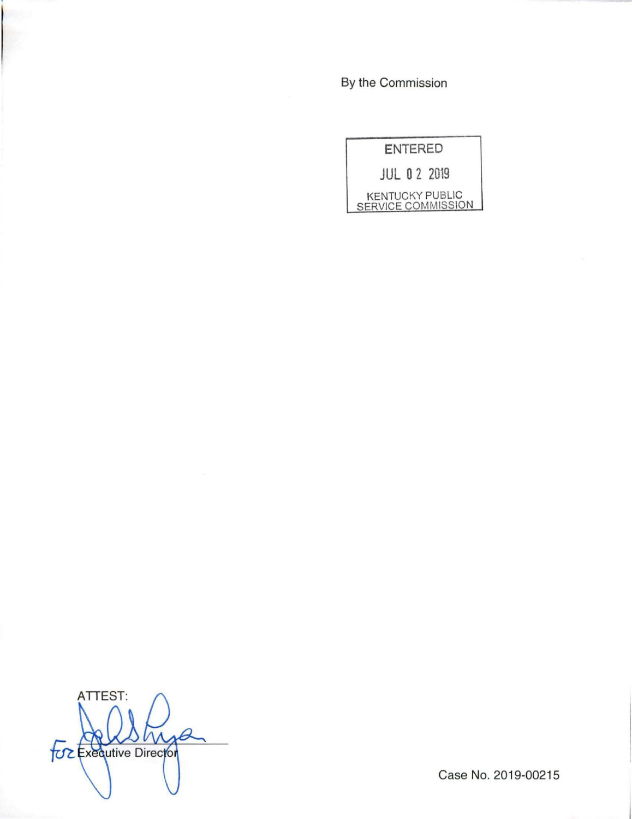By the Commission

| <b>ENTERED</b>                               |
|----------------------------------------------|
| $111$ 0 2 2019                               |
| <b>KENTUCKY PUBLIC</b><br>SERVICE COMMISSION |

ATTEST: **For Executive Director** 

Case No. 2019-00215